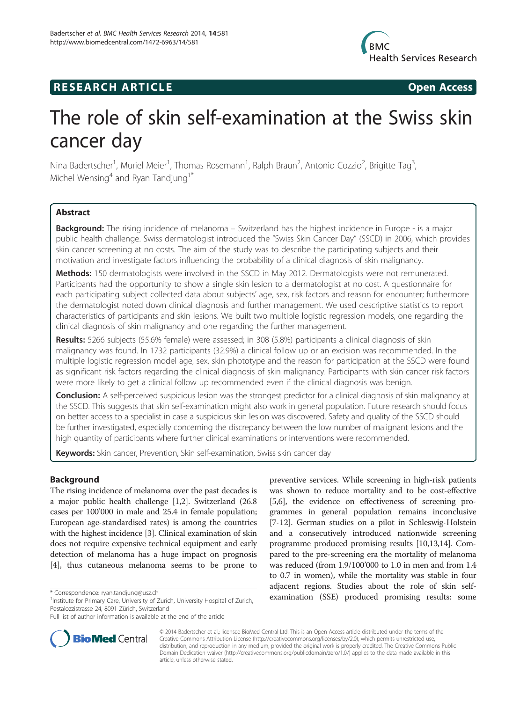

# **RESEARCH ARTICLE Example 2018 Open Access**

# The role of skin self-examination at the Swiss skin cancer day

Nina Badertscher<sup>1</sup>, Muriel Meier<sup>1</sup>, Thomas Rosemann<sup>1</sup>, Ralph Braun<sup>2</sup>, Antonio Cozzio<sup>2</sup>, Brigitte Tag<sup>3</sup> , Michel Wensing<sup>4</sup> and Ryan Tandjung<sup>1\*</sup>

# Abstract

**Background:** The rising incidence of melanoma – Switzerland has the highest incidence in Europe - is a major public health challenge. Swiss dermatologist introduced the "Swiss Skin Cancer Day" (SSCD) in 2006, which provides skin cancer screening at no costs. The aim of the study was to describe the participating subjects and their motivation and investigate factors influencing the probability of a clinical diagnosis of skin malignancy.

Methods: 150 dermatologists were involved in the SSCD in May 2012. Dermatologists were not remunerated. Participants had the opportunity to show a single skin lesion to a dermatologist at no cost. A questionnaire for each participating subject collected data about subjects' age, sex, risk factors and reason for encounter; furthermore the dermatologist noted down clinical diagnosis and further management. We used descriptive statistics to report characteristics of participants and skin lesions. We built two multiple logistic regression models, one regarding the clinical diagnosis of skin malignancy and one regarding the further management.

Results: 5266 subjects (55.6% female) were assessed; in 308 (5.8%) participants a clinical diagnosis of skin malignancy was found. In 1732 participants (32.9%) a clinical follow up or an excision was recommended. In the multiple logistic regression model age, sex, skin phototype and the reason for participation at the SSCD were found as significant risk factors regarding the clinical diagnosis of skin malignancy. Participants with skin cancer risk factors were more likely to get a clinical follow up recommended even if the clinical diagnosis was benign.

Conclusion: A self-perceived suspicious lesion was the strongest predictor for a clinical diagnosis of skin malignancy at the SSCD. This suggests that skin self-examination might also work in general population. Future research should focus on better access to a specialist in case a suspicious skin lesion was discovered. Safety and quality of the SSCD should be further investigated, especially concerning the discrepancy between the low number of malignant lesions and the high quantity of participants where further clinical examinations or interventions were recommended.

Keywords: Skin cancer, Prevention, Skin self-examination, Swiss skin cancer day

# **Background**

The rising incidence of melanoma over the past decades is a major public health challenge [\[1,2\]](#page-4-0). Switzerland (26.8 cases per 100'000 in male and 25.4 in female population; European age-standardised rates) is among the countries with the highest incidence [[3](#page-4-0)]. Clinical examination of skin does not require expensive technical equipment and early detection of melanoma has a huge impact on prognosis [[4\]](#page-4-0), thus cutaneous melanoma seems to be prone to

preventive services. While screening in high-risk patients was shown to reduce mortality and to be cost-effective [[5,6](#page-4-0)], the evidence on effectiveness of screening programmes in general population remains inconclusive [[7-12\]](#page-4-0). German studies on a pilot in Schleswig-Holstein and a consecutively introduced nationwide screening programme produced promising results [[10,13,14](#page-4-0)]. Compared to the pre-screening era the mortality of melanoma was reduced (from 1.9/100'000 to 1.0 in men and from 1.4 to 0.7 in women), while the mortality was stable in four adjacent regions. Studies about the role of skin self\* Correspondence: [ryan.tandjung@usz.ch](mailto:ryan.tandjung@usz.ch)<br><sup>1</sup>Institute for Primary Care University of Zurich University Hospital of Zurich **examination** (SSE) produced promising results: some



© 2014 Badertscher et al.; licensee BioMed Central Ltd. This is an Open Access article distributed under the terms of the Creative Commons Attribution License (<http://creativecommons.org/licenses/by/2.0>), which permits unrestricted use, distribution, and reproduction in any medium, provided the original work is properly credited. The Creative Commons Public Domain Dedication waiver [\(http://creativecommons.org/publicdomain/zero/1.0/\)](http://creativecommons.org/publicdomain/zero/1.0/) applies to the data made available in this article, unless otherwise stated.

<sup>&</sup>lt;sup>1</sup>Institute for Primary Care, University of Zurich, University Hospital of Zurich, Pestalozzistrasse 24, 8091 Zürich, Switzerland

Full list of author information is available at the end of the article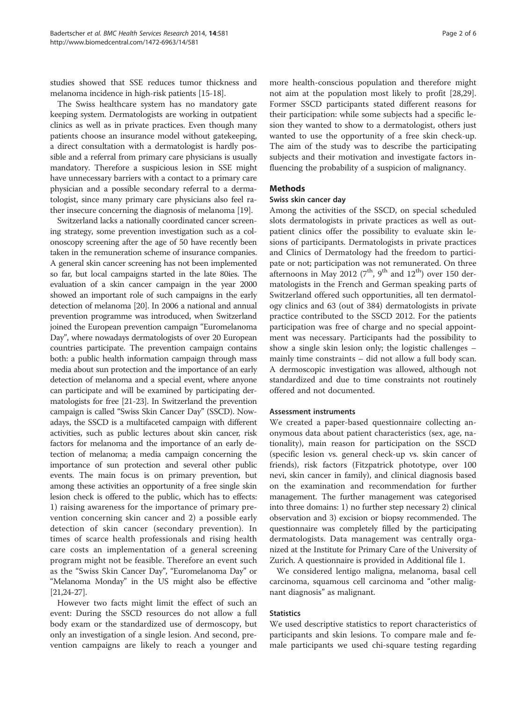studies showed that SSE reduces tumor thickness and melanoma incidence in high-risk patients [\[15](#page-4-0)[-18](#page-5-0)].

The Swiss healthcare system has no mandatory gate keeping system. Dermatologists are working in outpatient clinics as well as in private practices. Even though many patients choose an insurance model without gatekeeping, a direct consultation with a dermatologist is hardly possible and a referral from primary care physicians is usually mandatory. Therefore a suspicious lesion in SSE might have unnecessary barriers with a contact to a primary care physician and a possible secondary referral to a dermatologist, since many primary care physicians also feel rather insecure concerning the diagnosis of melanoma [\[19\]](#page-5-0).

Switzerland lacks a nationally coordinated cancer screening strategy, some prevention investigation such as a colonoscopy screening after the age of 50 have recently been taken in the remuneration scheme of insurance companies. A general skin cancer screening has not been implemented so far, but local campaigns started in the late 80ies. The evaluation of a skin cancer campaign in the year 2000 showed an important role of such campaigns in the early detection of melanoma [\[20\]](#page-5-0). In 2006 a national and annual prevention programme was introduced, when Switzerland joined the European prevention campaign "Euromelanoma Day", where nowadays dermatologists of over 20 European countries participate. The prevention campaign contains both: a public health information campaign through mass media about sun protection and the importance of an early detection of melanoma and a special event, where anyone can participate and will be examined by participating dermatologists for free [[21-23\]](#page-5-0). In Switzerland the prevention campaign is called "Swiss Skin Cancer Day" (SSCD). Nowadays, the SSCD is a multifaceted campaign with different activities, such as public lectures about skin cancer, risk factors for melanoma and the importance of an early detection of melanoma; a media campaign concerning the importance of sun protection and several other public events. The main focus is on primary prevention, but among these activities an opportunity of a free single skin lesion check is offered to the public, which has to effects: 1) raising awareness for the importance of primary prevention concerning skin cancer and 2) a possible early detection of skin cancer (secondary prevention). In times of scarce health professionals and rising health care costs an implementation of a general screening program might not be feasible. Therefore an event such as the "Swiss Skin Cancer Day", "Euromelanoma Day" or "Melanoma Monday" in the US might also be effective [[21,24-27](#page-5-0)].

However two facts might limit the effect of such an event: During the SSCD resources do not allow a full body exam or the standardized use of dermoscopy, but only an investigation of a single lesion. And second, prevention campaigns are likely to reach a younger and

more health-conscious population and therefore might not aim at the population most likely to profit [\[28,29](#page-5-0)]. Former SSCD participants stated different reasons for their participation: while some subjects had a specific lesion they wanted to show to a dermatologist, others just wanted to use the opportunity of a free skin check-up. The aim of the study was to describe the participating subjects and their motivation and investigate factors influencing the probability of a suspicion of malignancy.

#### Methods

# Swiss skin cancer day

Among the activities of the SSCD, on special scheduled slots dermatologists in private practices as well as outpatient clinics offer the possibility to evaluate skin lesions of participants. Dermatologists in private practices and Clinics of Dermatology had the freedom to participate or not; participation was not remunerated. On three afternoons in May 2012 ( $7<sup>th</sup>$ ,  $9<sup>th</sup>$  and  $12<sup>th</sup>$ ) over 150 dermatologists in the French and German speaking parts of Switzerland offered such opportunities, all ten dermatology clinics and 63 (out of 384) dermatologists in private practice contributed to the SSCD 2012. For the patients participation was free of charge and no special appointment was necessary. Participants had the possibility to show a single skin lesion only; the logistic challenges – mainly time constraints – did not allow a full body scan. A dermoscopic investigation was allowed, although not standardized and due to time constraints not routinely offered and not documented.

## Assessment instruments

We created a paper-based questionnaire collecting anonymous data about patient characteristics (sex, age, nationality), main reason for participation on the SSCD (specific lesion vs. general check-up vs. skin cancer of friends), risk factors (Fitzpatrick phototype, over 100 nevi, skin cancer in family), and clinical diagnosis based on the examination and recommendation for further management. The further management was categorised into three domains: 1) no further step necessary 2) clinical observation and 3) excision or biopsy recommended. The questionnaire was completely filled by the participating dermatologists. Data management was centrally organized at the Institute for Primary Care of the University of Zurich. A questionnaire is provided in Additional file [1.](#page-4-0)

We considered lentigo maligna, melanoma, basal cell carcinoma, squamous cell carcinoma and "other malignant diagnosis" as malignant.

#### Statistics

We used descriptive statistics to report characteristics of participants and skin lesions. To compare male and female participants we used chi-square testing regarding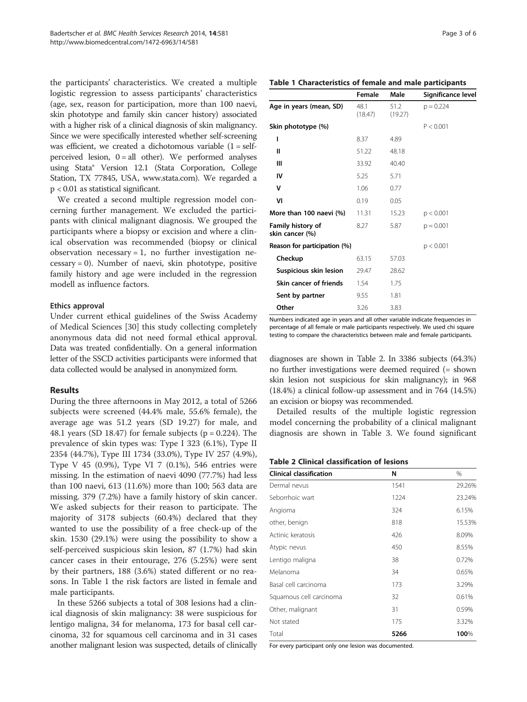the participants' characteristics. We created a multiple logistic regression to assess participants' characteristics (age, sex, reason for participation, more than 100 naevi, skin phototype and family skin cancer history) associated with a higher risk of a clinical diagnosis of skin malignancy. Since we were specifically interested whether self-screening was efficient, we created a dichotomous variable  $(1 = \text{self} - \text{self})$ perceived lesion,  $0 = all$  other). We performed analyses using Stata® Version 12.1 (Stata Corporation, College Station, TX 77845, USA, [www.stata.com\)](http://www.stata.com). We regarded a p < 0.01 as statistical significant.

We created a second multiple regression model concerning further management. We excluded the participants with clinical malignant diagnosis. We grouped the participants where a biopsy or excision and where a clinical observation was recommended (biopsy or clinical observation necessary  $= 1$ , no further investigation ne $cessary = 0$ ). Number of naevi, skin phototype, positive family history and age were included in the regression modell as influence factors.

# Ethics approval

Under current ethical guidelines of the Swiss Academy of Medical Sciences [\[30](#page-5-0)] this study collecting completely anonymous data did not need formal ethical approval. Data was treated confidentially. On a general information letter of the SSCD activities participants were informed that data collected would be analysed in anonymized form.

#### Results

During the three afternoons in May 2012, a total of 5266 subjects were screened (44.4% male, 55.6% female), the average age was 51.2 years (SD 19.27) for male, and 48.1 years (SD 18.47) for female subjects ( $p = 0.224$ ). The prevalence of skin types was: Type I 323 (6.1%), Type II 2354 (44.7%), Type III 1734 (33.0%), Type IV 257 (4.9%), Type V 45 (0.9%), Type VI 7 (0.1%), 546 entries were missing. In the estimation of naevi 4090 (77.7%) had less than 100 naevi, 613 (11.6%) more than 100; 563 data are missing. 379 (7.2%) have a family history of skin cancer. We asked subjects for their reason to participate. The majority of 3178 subjects (60.4%) declared that they wanted to use the possibility of a free check-up of the skin. 1530 (29.1%) were using the possibility to show a self-perceived suspicious skin lesion, 87 (1.7%) had skin cancer cases in their entourage, 276 (5.25%) were sent by their partners, 188 (3.6%) stated different or no reasons. In Table 1 the risk factors are listed in female and male participants.

In these 5266 subjects a total of 308 lesions had a clinical diagnosis of skin malignancy: 38 were suspicious for lentigo maligna, 34 for melanoma, 173 for basal cell carcinoma, 32 for squamous cell carcinoma and in 31 cases another malignant lesion was suspected, details of clinically

| Age in years (mean, SD)              | 48.1<br>(18.47) | 51.2<br>(19.27) | $p = 0.224$ |
|--------------------------------------|-----------------|-----------------|-------------|
| Skin phototype (%)                   |                 |                 | P < 0.001   |
| ı                                    | 8.37            | 4.89            |             |
| Ш                                    | 51.22           | 48.18           |             |
| Ш                                    | 33.92           | 40.40           |             |
| IV                                   | 5.25            | 5.71            |             |
| v                                    | 1.06            | 0.77            |             |
| VI                                   | 0.19            | 0.05            |             |
| More than 100 naevi (%)              | 11.31           | 15.23           | p < 0.001   |
| Family history of<br>skin cancer (%) | 8.27            | 5.87            | $p = 0.001$ |
| Reason for participation (%)         |                 |                 | p < 0.001   |
| Checkup                              | 63.15           | 57.03           |             |
| Suspicious skin lesion               | 29.47           | 28.62           |             |
| Skin cancer of friends               | 1.54            | 1.75            |             |

Numbers indicated age in years and all other variable indicate frequencies in percentage of all female or male participants respectively. We used chi square testing to compare the characteristics between male and female participants.

diagnoses are shown in Table 2. In 3386 subjects (64.3%) no further investigations were deemed required (= shown skin lesion not suspicious for skin malignancy); in 968 (18.4%) a clinical follow-up assessment and in 764 (14.5%) an excision or biopsy was recommended.

Detailed results of the multiple logistic regression model concerning the probability of a clinical malignant diagnosis are shown in Table [3](#page-3-0). We found significant

#### Table 2 Clinical classification of lesions

Sent by partner 9.55 1.81 **Other** 3.26 3.83

| N    | %      |
|------|--------|
| 1541 | 29.26% |
| 1224 | 23.24% |
| 324  | 6.15%  |
| 818  | 15.53% |
| 426  | 8.09%  |
| 450  | 8.55%  |
| 38   | 0.72%  |
| 34   | 0.65%  |
| 173  | 3.29%  |
| 32   | 0.61%  |
| 31   | 0.59%  |
| 175  | 3.32%  |
| 5266 | 100%   |
|      |        |

For every participant only one lesion was documented.

# Table 1 Characteristics of female and male participants

Female Male Significance level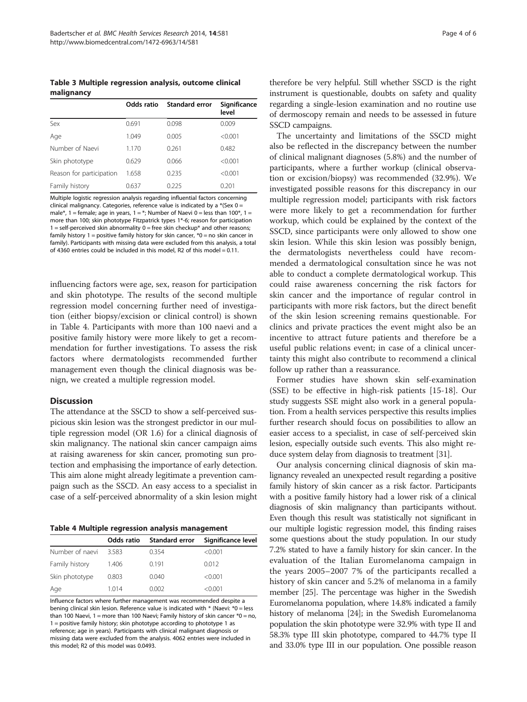<span id="page-3-0"></span>Table 3 Multiple regression analysis, outcome clinical malignancy

|                          | Odds ratio | <b>Standard error</b> | Significance<br>level |
|--------------------------|------------|-----------------------|-----------------------|
| Sex                      | 0.691      | 0.098                 | 0.009                 |
| Age                      | 1.049      | 0.005                 | < 0.001               |
| Number of Naevi          | 1.170      | 0.261                 | 0.482                 |
| Skin phototype           | 0.629      | 0.066                 | < 0.001               |
| Reason for participation | 1.658      | 0.235                 | < 0.001               |
| Family history           | 0.637      | በ 225                 | 0.201                 |

Multiple logistic regression analysis regarding influential factors concerning clinical malignancy. Categories, reference value is indicated by a \*(Sex 0 = male\*, 1 = female; age in years, 1 = \*; Number of Naevi 0 = less than 100\*, 1 = more than 100; skin phototype Fitzpatrick types 1\*-6; reason for participation  $1 =$  self-perceived skin abnormality  $0 =$  free skin checkup\* and other reasons; family history  $1 =$  positive family history for skin cancer,  $*0 =$  no skin cancer in family). Participants with missing data were excluded from this analysis, a total of 4360 entries could be included in this model, R2 of this model = 0.11.

influencing factors were age, sex, reason for participation and skin phototype. The results of the second multiple regression model concerning further need of investigation (either biopsy/excision or clinical control) is shown in Table 4. Participants with more than 100 naevi and a positive family history were more likely to get a recommendation for further investigations. To assess the risk factors where dermatologists recommended further management even though the clinical diagnosis was benign, we created a multiple regression model.

## Discussion

The attendance at the SSCD to show a self-perceived suspicious skin lesion was the strongest predictor in our multiple regression model (OR 1.6) for a clinical diagnosis of skin malignancy. The national skin cancer campaign aims at raising awareness for skin cancer, promoting sun protection and emphasising the importance of early detection. This aim alone might already legitimate a prevention campaign such as the SSCD. An easy access to a specialist in case of a self-perceived abnormality of a skin lesion might

|  |  |  | Table 4 Multiple regression analysis management |
|--|--|--|-------------------------------------------------|
|--|--|--|-------------------------------------------------|

|                 | Odds ratio | Standard error | Significance level |
|-----------------|------------|----------------|--------------------|
| Number of naevi | 3.583      | 0.354          | < 0.001            |
| Family history  | 1.406      | 0.191          | 0.012              |
| Skin phototype  | 0.803      | 0.040          | < 0.001            |
| Age             | 1.014      | 0.002          | < 0.001            |

Influence factors where further management was recommended despite a bening clinical skin lesion. Reference value is indicated with \* (Naevi: \*0 = less than 100 Naevi, 1 = more than 100 Naevi; Family history of skin cancer  $*0 =$  no, 1 = positive family history; skin phototype according to phototype 1 as reference; age in years). Participants with clinical malignant diagnosis or missing data were excluded from the analysis. 4062 entries were included in this model; R2 of this model was 0.0493.

therefore be very helpful. Still whether SSCD is the right instrument is questionable, doubts on safety and quality regarding a single-lesion examination and no routine use of dermoscopy remain and needs to be assessed in future SSCD campaigns.

The uncertainty and limitations of the SSCD might also be reflected in the discrepancy between the number of clinical malignant diagnoses (5.8%) and the number of participants, where a further workup (clinical observation or excision/biopsy) was recommended (32.9%). We investigated possible reasons for this discrepancy in our multiple regression model; participants with risk factors were more likely to get a recommendation for further workup, which could be explained by the context of the SSCD, since participants were only allowed to show one skin lesion. While this skin lesion was possibly benign, the dermatologists nevertheless could have recommended a dermatological consultation since he was not able to conduct a complete dermatological workup. This could raise awareness concerning the risk factors for skin cancer and the importance of regular control in participants with more risk factors, but the direct benefit of the skin lesion screening remains questionable. For clinics and private practices the event might also be an incentive to attract future patients and therefore be a useful public relations event; in case of a clinical uncertainty this might also contribute to recommend a clinical follow up rather than a reassurance.

Former studies have shown skin self-examination (SSE) to be effective in high-risk patients [[15](#page-4-0)[-18](#page-5-0)]. Our study suggests SSE might also work in a general population. From a health services perspective this results implies further research should focus on possibilities to allow an easier access to a specialist, in case of self-perceived skin lesion, especially outside such events. This also might reduce system delay from diagnosis to treatment [\[31\]](#page-5-0).

Our analysis concerning clinical diagnosis of skin malignancy revealed an unexpected result regarding a positive family history of skin cancer as a risk factor. Participants with a positive family history had a lower risk of a clinical diagnosis of skin malignancy than participants without. Even though this result was statistically not significant in our multiple logistic regression model, this finding raises some questions about the study population. In our study 7.2% stated to have a family history for skin cancer. In the evaluation of the Italian Euromelanoma campaign in the years 2005–2007 7% of the participants recalled a history of skin cancer and 5.2% of melanoma in a family member [[25](#page-5-0)]. The percentage was higher in the Swedish Euromelanoma population, where 14.8% indicated a family history of melanoma [[24](#page-5-0)]; in the Swedish Euromelanoma population the skin phototype were 32.9% with type II and 58.3% type III skin phototype, compared to 44.7% type II and 33.0% type III in our population. One possible reason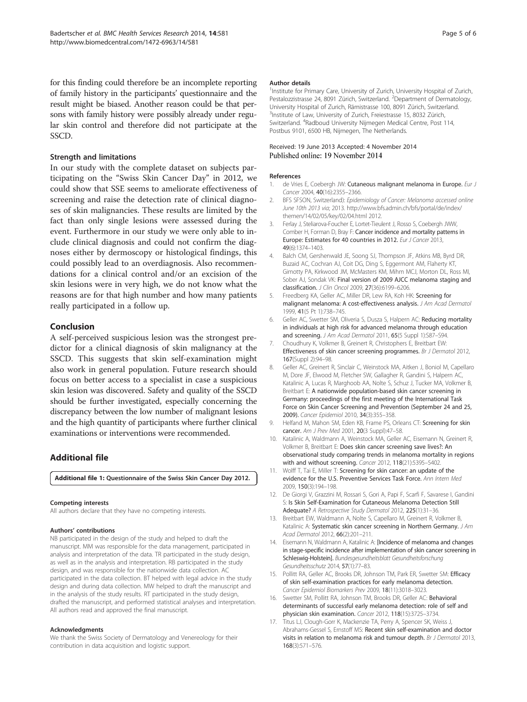<span id="page-4-0"></span>for this finding could therefore be an incomplete reporting of family history in the participants' questionnaire and the result might be biased. Another reason could be that persons with family history were possibly already under regular skin control and therefore did not participate at the SSCD.

## Strength and limitations

In our study with the complete dataset on subjects participating on the "Swiss Skin Cancer Day" in 2012, we could show that SSE seems to ameliorate effectiveness of screening and raise the detection rate of clinical diagnoses of skin malignancies. These results are limited by the fact than only single lesions were assessed during the event. Furthermore in our study we were only able to include clinical diagnosis and could not confirm the diagnoses either by dermoscopy or histological findings, this could possibly lead to an overdiagnosis. Also recommendations for a clinical control and/or an excision of the skin lesions were in very high, we do not know what the reasons are for that high number and how many patients really participated in a follow up.

# Conclusion

A self-perceived suspicious lesion was the strongest predictor for a clinical diagnosis of skin malignancy at the SSCD. This suggests that skin self-examination might also work in general population. Future research should focus on better access to a specialist in case a suspicious skin lesion was discovered. Safety and quality of the SSCD should be further investigated, especially concerning the discrepancy between the low number of malignant lesions and the high quantity of participants where further clinical examinations or interventions were recommended.

# Additional file

[Additional file 1:](http://www.biomedcentral.com/content/supplementary/s12913-014-0581-6-s1.docx) Questionnaire of the Swiss Skin Cancer Day 2012.

#### Competing interests

All authors declare that they have no competing interests.

#### Authors' contributions

NB participated in the design of the study and helped to draft the manuscript. MM was responsible for the data management, participated in analysis and interpretation of the data. TR participated in the study design, as well as in the analysis and interpretation. RB participated in the study design, and was responsible for the nationwide data collection. AC participated in the data collection. BT helped with legal advice in the study design and during data collection. MW helped to draft the manuscript and in the analysis of the study results. RT participated in the study design, drafted the manuscript, and performed statistical analyses and interpretation. All authors read and approved the final manuscript.

#### Acknowledgments

We thank the Swiss Society of Dermatology and Venereology for their contribution in data acquisition and logistic support.

#### Author details

<sup>1</sup> Institute for Primary Care, University of Zurich, University Hospital of Zurich Pestalozzistrasse 24, 8091 Zürich, Switzerland. <sup>2</sup>Department of Dermatology University Hospital of Zurich, Rämistrasse 100, 8091 Zürich, Switzerland. <sup>3</sup>Institute of Law, University of Zurich, Freiestrasse 15, 8032 Zürich, Switzerland. <sup>4</sup>Radboud University Nijmegen Medical Centre, Post 114, Postbus 9101, 6500 HB, Nijmegen, The Netherlands.

# Received: 19 June 2013 Accepted: 4 November 2014

#### References

- de Vries E, Coebergh JW: Cutaneous malignant melanoma in Europe. Eur J Cancer 2004, 40(16):2355–2366.
- 2. BFS SFSON, Switzerland): Epidemiology of Cancer: Melanoma accessed online June 10th 2013 via; 2013. [http://www.bfs.admin.ch/bfs/portal/de/index/](http://www.bfs.admin.ch/bfs/portal/de/index/themen/14/02/05/key/02/04.html) [themen/14/02/05/key/02/04.html](http://www.bfs.admin.ch/bfs/portal/de/index/themen/14/02/05/key/02/04.html) 2012.
- 3. Ferlay J, Steliarova-Foucher E, Lortet-Tieulent J, Rosso S, Coebergh JWW, Comber H, Forman D, Bray F: Cancer incidence and mortality patterns in Europe: Estimates for 40 countries in 2012. Eur J Cancer 2013, 49(6):1374–1403.
- 4. Balch CM, Gershenwald JE, Soong SJ, Thompson JF, Atkins MB, Byrd DR, Buzaid AC, Cochran AJ, Coit DG, Ding S, Eggermont AM, Flaherty KT, Gimotty PA, Kirkwood JM, McMasters KM, Mihm MCJ, Morton DL, Ross MI, Sober AJ, Sondak VK: Final version of 2009 AJCC melanoma staging and classification. J Clin Oncol 2009, 27(36):6199–6206.
- 5. Freedberg KA, Geller AC, Miller DR, Lew RA, Koh HK: Screening for malignant melanoma: A cost-effectiveness analysis. J Am Acad Dermatol 1999, 41(5 Pt 1):738–745.
- 6. Geller AC, Swetter SM, Oliveria S, Dusza S, Halpern AC: Reducing mortality in individuals at high risk for advanced melanoma through education and screening. J Am Acad Dermatol 2011, 65(5 Suppl 1):S87-S94.
- 7. Choudhury K, Volkmer B, Greinert R, Christophers E, Breitbart EW: Effectiveness of skin cancer screening programmes. Br J Dermatol 2012, 167(Suppl 2):94–98.
- 8. Geller AC, Greinert R, Sinclair C, Weinstock MA, Aitken J, Boniol M, Capellaro M, Dore JF, Elwood M, Fletcher SW, Gallagher R, Gandini S, Halpern AC, Katalinic A, Lucas R, Marghoob AA, Nolte S, Schuz J, Tucker MA, Volkmer B, Breitbart E: A nationwide population-based skin cancer screening in Germany: proceedings of the first meeting of the International Task Force on Skin Cancer Screening and Prevention (September 24 and 25, 2009). Cancer Epidemiol 2010, 34(3):355–358.
- 9. Helfand M, Mahon SM, Eden KB, Frame PS, Orleans CT: Screening for skin cancer. Am J Prev Med 2001, 20(3 Suppl):47–58.
- 10. Katalinic A, Waldmann A, Weinstock MA, Geller AC, Eisemann N, Greinert R, Volkmer B, Breitbart E: Does skin cancer screening save lives?: An observational study comparing trends in melanoma mortality in regions with and without screening. Cancer 2012, 118(21):5395-5402.
- 11. Wolff T, Tai E, Miller T: Screening for skin cancer: an update of the evidence for the U.S. Preventive Services Task Force. Ann Intern Med 2009, 150(3):194–198.
- 12. De Giorgi V, Grazzini M, Rossari S, Gori A, Papi F, Scarfi F, Savarese I, Gandini S: Is Skin Self-Examination for Cutaneous Melanoma Detection Still Adequate? A Retrospective Study Dermatol 2012, 225(1):31–36.
- 13. Breitbart EW, Waldmann A, Nolte S, Capellaro M, Greinert R, Volkmer B, Katalinic A: Systematic skin cancer screening in Northern Germany. J Am Acad Dermatol 2012, 66(2):201–211.
- 14. Eisemann N, Waldmann A, Katalinic A: [Incidence of melanoma and changes in stage-specific incidence after implementation of skin cancer screening in Schleswig-Holstein]. Bundesgesundheitsblatt Gesundheitsforschung Gesundheitsschutz 2014, 57(1):77–83.
- 15. Pollitt RA, Geller AC, Brooks DR, Johnson TM, Park ER, Swetter SM: Efficacy of skin self-examination practices for early melanoma detection. Cancer Epidemiol Biomarkers Prev 2009, 18(11):3018–3023.
- 16. Swetter SM, Pollitt RA, Johnson TM, Brooks DR, Geller AC: Behavioral determinants of successful early melanoma detection: role of self and physician skin examination. Cancer 2012, 118(15):3725–3734.
- 17. Titus LJ, Clough-Gorr K, Mackenzie TA, Perry A, Spencer SK, Weiss J Abrahams-Gessel S, Ernstoff MS: Recent skin self-examination and doctor visits in relation to melanoma risk and tumour depth. Br J Dermatol 2013, 168(3):571–576.